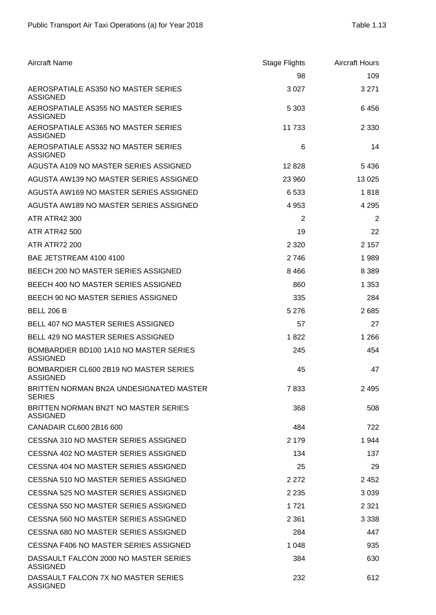| <b>Aircraft Name</b>                                      | <b>Stage Flights</b> | <b>Aircraft Hours</b> |
|-----------------------------------------------------------|----------------------|-----------------------|
|                                                           | 98                   | 109                   |
| AEROSPATIALE AS350 NO MASTER SERIES<br><b>ASSIGNED</b>    | 3 0 2 7              | 3 2 7 1               |
| AEROSPATIALE AS355 NO MASTER SERIES<br><b>ASSIGNED</b>    | 5 3 0 3              | 6456                  |
| AEROSPATIALE AS365 NO MASTER SERIES<br><b>ASSIGNED</b>    | 11 733               | 2 3 3 0               |
| AEROSPATIALE AS532 NO MASTER SERIES<br><b>ASSIGNED</b>    | 6                    | 14                    |
| AGUSTA A109 NO MASTER SERIES ASSIGNED                     | 12828                | 5 4 3 6               |
| AGUSTA AW139 NO MASTER SERIES ASSIGNED                    | 23 960               | 13 0 25               |
| AGUSTA AW169 NO MASTER SERIES ASSIGNED                    | 6533                 | 1818                  |
| AGUSTA AW189 NO MASTER SERIES ASSIGNED                    | 4 9 5 3              | 4 2 9 5               |
| <b>ATR ATR42 300</b>                                      | $\overline{2}$       | $\overline{2}$        |
| <b>ATR ATR42 500</b>                                      | 19                   | 22                    |
| <b>ATR ATR72 200</b>                                      | 2 3 2 0              | 2 1 5 7               |
| BAE JETSTREAM 4100 4100                                   | 2746                 | 1989                  |
| BEECH 200 NO MASTER SERIES ASSIGNED                       | 8 4 6 6              | 8 3 8 9               |
| BEECH 400 NO MASTER SERIES ASSIGNED                       | 860                  | 1 3 5 3               |
| BEECH 90 NO MASTER SERIES ASSIGNED                        | 335                  | 284                   |
| <b>BELL 206 B</b>                                         | 5 2 7 6              | 2685                  |
| <b>BELL 407 NO MASTER SERIES ASSIGNED</b>                 | 57                   | 27                    |
| BELL 429 NO MASTER SERIES ASSIGNED                        | 1822                 | 1 2 6 6               |
| BOMBARDIER BD100 1A10 NO MASTER SERIES<br><b>ASSIGNED</b> | 245                  | 454                   |
| BOMBARDIER CL600 2B19 NO MASTER SERIES<br><b>ASSIGNED</b> | 45                   | 47                    |
| BRITTEN NORMAN BN2A UNDESIGNATED MASTER<br><b>SERIES</b>  | 7833                 | 2 4 9 5               |
| BRITTEN NORMAN BN2T NO MASTER SERIES<br><b>ASSIGNED</b>   | 368                  | 508                   |
| CANADAIR CL600 2B16 600                                   | 484                  | 722                   |
| CESSNA 310 NO MASTER SERIES ASSIGNED                      | 2 1 7 9              | 1944                  |
| CESSNA 402 NO MASTER SERIES ASSIGNED                      | 134                  | 137                   |
| CESSNA 404 NO MASTER SERIES ASSIGNED                      | 25                   | 29                    |
| CESSNA 510 NO MASTER SERIES ASSIGNED                      | 2 2 7 2              | 2 4 5 2               |
| CESSNA 525 NO MASTER SERIES ASSIGNED                      | 2 2 3 5              | 3 0 3 9               |
| CESSNA 550 NO MASTER SERIES ASSIGNED                      | 1 721                | 2 3 2 1               |
| CESSNA 560 NO MASTER SERIES ASSIGNED                      | 2 3 6 1              | 3 3 3 8               |
| CESSNA 680 NO MASTER SERIES ASSIGNED                      | 284                  | 447                   |
| CESSNA F406 NO MASTER SERIES ASSIGNED                     | 1 0 4 8              | 935                   |
| DASSAULT FALCON 2000 NO MASTER SERIES<br><b>ASSIGNED</b>  | 384                  | 630                   |
| DASSAULT FALCON 7X NO MASTER SERIES<br><b>ASSIGNED</b>    | 232                  | 612                   |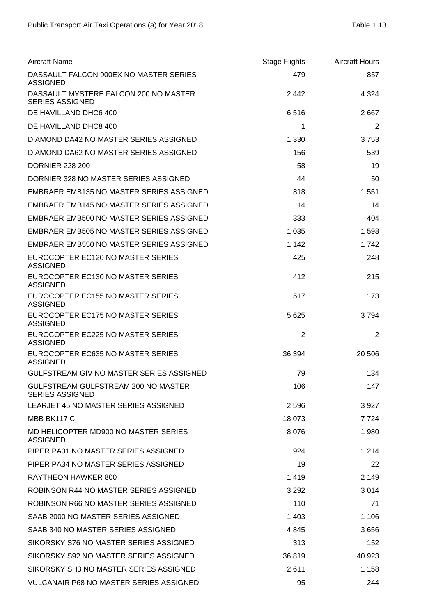| <b>Aircraft Name</b>                                            | Stage Flights | <b>Aircraft Hours</b> |
|-----------------------------------------------------------------|---------------|-----------------------|
| DASSAULT FALCON 900EX NO MASTER SERIES<br><b>ASSIGNED</b>       | 479           | 857                   |
| DASSAULT MYSTERE FALCON 200 NO MASTER<br><b>SERIES ASSIGNED</b> | 2442          | 4 3 2 4               |
| DE HAVILLAND DHC6 400                                           | 6516          | 2667                  |
| DE HAVILLAND DHC8 400                                           | 1             | $\overline{2}$        |
| DIAMOND DA42 NO MASTER SERIES ASSIGNED                          | 1 3 3 0       | 3753                  |
| DIAMOND DA62 NO MASTER SERIES ASSIGNED                          | 156           | 539                   |
| <b>DORNIER 228 200</b>                                          | 58            | 19                    |
| DORNIER 328 NO MASTER SERIES ASSIGNED                           | 44            | 50                    |
| <b>EMBRAER EMB135 NO MASTER SERIES ASSIGNED</b>                 | 818           | 1 5 5 1               |
| EMBRAER EMB145 NO MASTER SERIES ASSIGNED                        | 14            | 14                    |
| EMBRAER EMB500 NO MASTER SERIES ASSIGNED                        | 333           | 404                   |
| EMBRAER EMB505 NO MASTER SERIES ASSIGNED                        | 1 0 3 5       | 1598                  |
| EMBRAER EMB550 NO MASTER SERIES ASSIGNED                        | 1 1 4 2       | 1742                  |
| EUROCOPTER EC120 NO MASTER SERIES<br><b>ASSIGNED</b>            | 425           | 248                   |
| EUROCOPTER EC130 NO MASTER SERIES<br><b>ASSIGNED</b>            | 412           | 215                   |
| EUROCOPTER EC155 NO MASTER SERIES<br><b>ASSIGNED</b>            | 517           | 173                   |
| EUROCOPTER EC175 NO MASTER SERIES<br><b>ASSIGNED</b>            | 5 6 2 5       | 3794                  |
| EUROCOPTER EC225 NO MASTER SERIES<br><b>ASSIGNED</b>            | 2             | $\overline{2}$        |
| EUROCOPTER EC635 NO MASTER SERIES<br><b>ASSIGNED</b>            | 36 394        | 20 50 6               |
| GULFSTREAM GIV NO MASTER SERIES ASSIGNED                        | 79            | 134                   |
| GULFSTREAM GULFSTREAM 200 NO MASTER<br><b>SERIES ASSIGNED</b>   | 106           | 147                   |
| LEARJET 45 NO MASTER SERIES ASSIGNED                            | 2 5 9 6       | 3927                  |
| MBB BK117 C                                                     | 18 073        | 7 7 2 4               |
| MD HELICOPTER MD900 NO MASTER SERIES<br><b>ASSIGNED</b>         | 8076          | 1980                  |
| PIPER PA31 NO MASTER SERIES ASSIGNED                            | 924           | 1 2 1 4               |
| PIPER PA34 NO MASTER SERIES ASSIGNED                            | 19            | 22                    |
| RAYTHEON HAWKER 800                                             | 1419          | 2 1 4 9               |
| ROBINSON R44 NO MASTER SERIES ASSIGNED                          | 3 2 9 2       | 3014                  |
| ROBINSON R66 NO MASTER SERIES ASSIGNED                          | 110           | 71                    |
| SAAB 2000 NO MASTER SERIES ASSIGNED                             | 1 4 0 3       | 1 1 0 6               |
| SAAB 340 NO MASTER SERIES ASSIGNED                              | 4 845         | 3656                  |
| SIKORSKY S76 NO MASTER SERIES ASSIGNED                          | 313           | 152                   |
| SIKORSKY S92 NO MASTER SERIES ASSIGNED                          | 36819         | 40 923                |
| SIKORSKY SH3 NO MASTER SERIES ASSIGNED                          | 2611          | 1 158                 |
| <b>VULCANAIR P68 NO MASTER SERIES ASSIGNED</b>                  | 95            | 244                   |